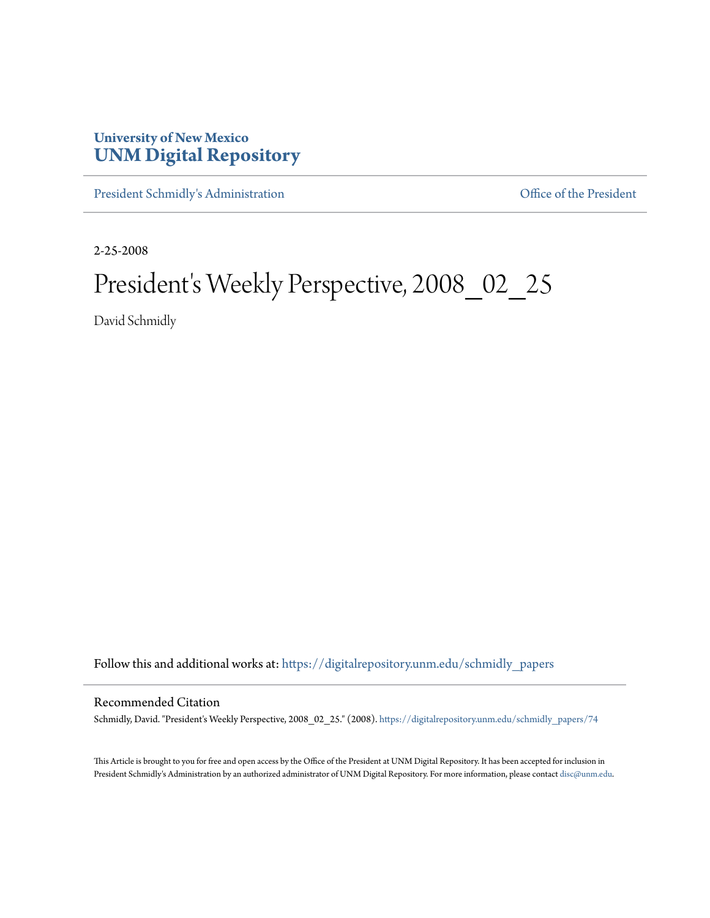## **University of New Mexico [UNM Digital Repository](https://digitalrepository.unm.edu?utm_source=digitalrepository.unm.edu%2Fschmidly_papers%2F74&utm_medium=PDF&utm_campaign=PDFCoverPages)**

[President Schmidly's Administration](https://digitalrepository.unm.edu/schmidly_papers?utm_source=digitalrepository.unm.edu%2Fschmidly_papers%2F74&utm_medium=PDF&utm_campaign=PDFCoverPages) [Office of the President](https://digitalrepository.unm.edu/ofc_president?utm_source=digitalrepository.unm.edu%2Fschmidly_papers%2F74&utm_medium=PDF&utm_campaign=PDFCoverPages)

2-25-2008

## President's Weekly Perspective, 2008\_02\_25

David Schmidly

Follow this and additional works at: [https://digitalrepository.unm.edu/schmidly\\_papers](https://digitalrepository.unm.edu/schmidly_papers?utm_source=digitalrepository.unm.edu%2Fschmidly_papers%2F74&utm_medium=PDF&utm_campaign=PDFCoverPages)

## Recommended Citation

Schmidly, David. "President's Weekly Perspective, 2008\_02\_25." (2008). [https://digitalrepository.unm.edu/schmidly\\_papers/74](https://digitalrepository.unm.edu/schmidly_papers/74?utm_source=digitalrepository.unm.edu%2Fschmidly_papers%2F74&utm_medium=PDF&utm_campaign=PDFCoverPages)

This Article is brought to you for free and open access by the Office of the President at UNM Digital Repository. It has been accepted for inclusion in President Schmidly's Administration by an authorized administrator of UNM Digital Repository. For more information, please contact [disc@unm.edu](mailto:disc@unm.edu).